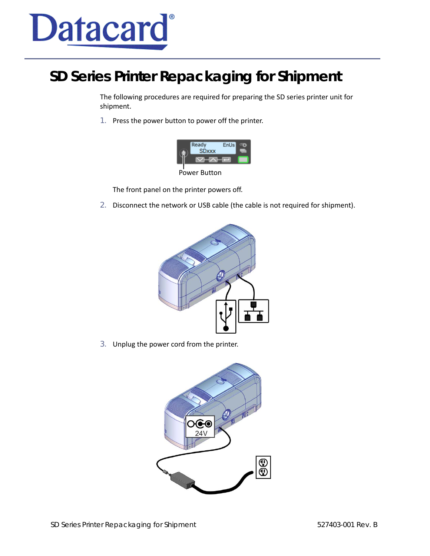

## **SD Series Printer Repackaging for Shipment**

The following procedures are required for preparing the SD series printer unit for shipment.

1. Press the power button to power off the printer.



Power Button

The front panel on the printer powers off.

2. Disconnect the network or USB cable (the cable is not required for shipment).



3. Unplug the power cord from the printer.

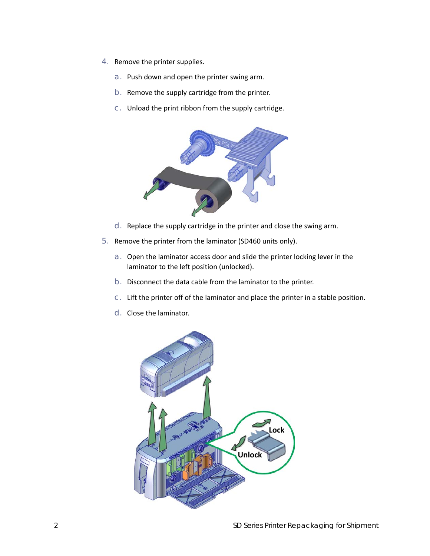- 4. Remove the printer supplies.
	- a. Push down and open the printer swing arm.
	- b. Remove the supply cartridge from the printer.
	- c. Unload the print ribbon from the supply cartridge.



- d. Replace the supply cartridge in the printer and close the swing arm.
- 5. Remove the printer from the laminator (SD460 units only).
	- a. Open the laminator access door and slide the printer locking lever in the laminator to the left position (unlocked).
	- b. Disconnect the data cable from the laminator to the printer.
	- c. Lift the printer off of the laminator and place the printer in a stable position.
	- d. Close the laminator.